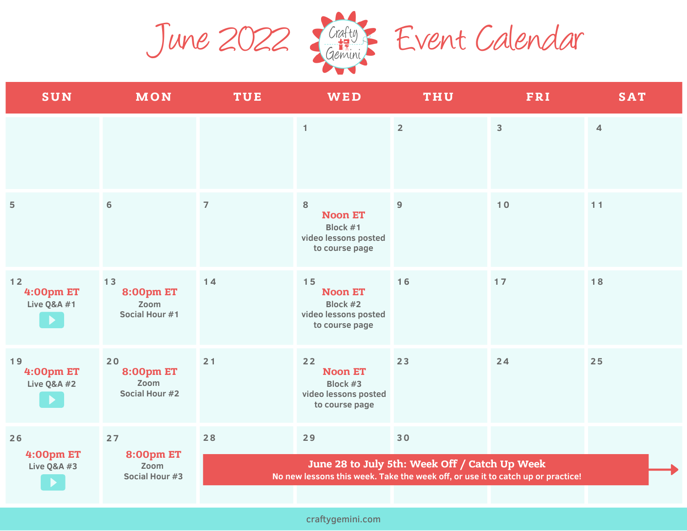June 2022 January Event Calendar



| SUN                                                | MON                                              | <b>TUE</b>                                                                                                                       | <b>WED</b>                                                                 | <b>THU</b>     | FRI            | <b>SAT</b>     |  |
|----------------------------------------------------|--------------------------------------------------|----------------------------------------------------------------------------------------------------------------------------------|----------------------------------------------------------------------------|----------------|----------------|----------------|--|
|                                                    |                                                  |                                                                                                                                  | $\mathbf{1}$                                                               | $\overline{2}$ | $\overline{3}$ | $\overline{4}$ |  |
| $\overline{5}$                                     | $6\phantom{1}6$                                  | $\overline{7}$                                                                                                                   | 8<br><b>Noon ET</b><br>Block #1<br>video lessons posted<br>to course page  | $\overline{9}$ | $10$           | 11             |  |
| $12$<br><b>4:00pm ET</b><br><b>Live Q&amp;A #1</b> | 13<br><b>8:00pm ET</b><br>Zoom<br>Social Hour #1 | 14                                                                                                                               | 15<br><b>Noon ET</b><br>Block #2<br>video lessons posted<br>to course page | $16$           | 17             | $18$           |  |
| 19<br><b>4:00pm ET</b><br><b>Live Q&amp;A #2</b>   | 20<br><b>8:00pm ET</b><br>Zoom<br>Social Hour #2 | 21                                                                                                                               | 22<br><b>Noon ET</b><br>Block #3<br>video lessons posted<br>to course page | 23             | 24             | 25             |  |
| 26<br><b>4:00pm ET</b><br><b>Live Q&amp;A #3</b>   | 27<br><b>8:00pm ET</b><br>Zoom<br>Social Hour #3 | 28                                                                                                                               | 29                                                                         | 30             |                |                |  |
|                                                    |                                                  | June 28 to July 5th: Week Off / Catch Up Week<br>No new lessons this week. Take the week off, or use it to catch up or practice! |                                                                            |                |                |                |  |
|                                                    |                                                  |                                                                                                                                  |                                                                            |                |                |                |  |

craftygemini.com